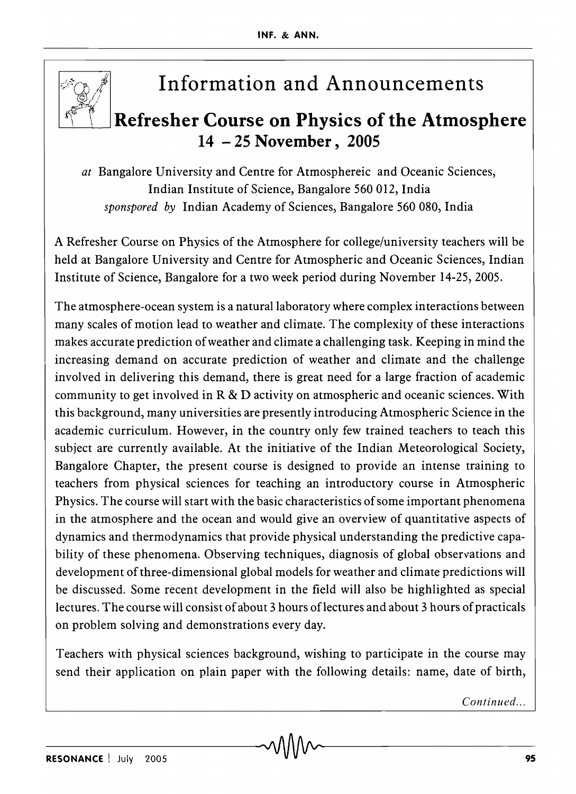

## **Information and Announcements**

## $Re$  **Refresher Course on Physics of the Atmosphere 14 - 25 November, 2005**

*at* Bangalore University and Centre for Atmosphereic and Oceanic Sciences, Indian Institute of Science, Bangalore 560 012, India *sponspored by* Indian Academy of Sciences, Bangalore 560 080, India

A Refresher Course on Physics of the Atmosphere for college/university teachers will be held at Bangalore University and Centre for Atmospheric and Oceanic Sciences, Indian Institute of Science, Bangalore for a two week period during November 14-25,2005.

The atmosphere-ocean system is a natural laboratory where complex interactions between many scales of motion lead to weather and climate. The complexity of these interactions makes accurate prediction of weather and climate a challenging task. Keeping in mind the increasing demand on accurate prediction of weather and climate and the challenge involved in delivering this demand, there is great need for a large fraction of academic community to get involved in R & D activity on atmospheric and oceanic sciences. With this background, many universities are presently introducing Atmospheric Science in the academic curriculum. However, in the country only few trained teachers to teach this subject are currently available. At the initiative of the Indian Meteorological Society, Bangalore Chapter, the present course is designed to provide an intense training to teachers from physical sciences for teaching an introductory course in Atmospheric Physics. The course will start with the basic characteristics of some important phenomena in the atmosphere and the ocean and would give an overview of quantitative aspects of dynamics and thermodynamics that provide physical understanding the predictive capability of these phenomena. Observing techniques, diagnosis of global observations and development of three-dimensional global models for weather and climate predictions will be discussed. Some recent development in the field will also be highlighted as special lectures. The course will consist of about 3 hours oflectures and about 3 hours of practicals on problem solving and demonstrations every day.

Teachers with physical sciences background, wishing to participate in the course may send their application on plain paper with the following details: name, date of birth,

*Continued ...*